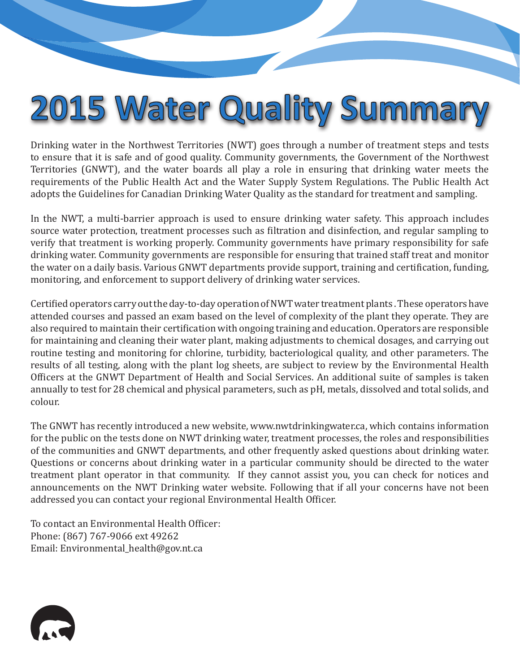## 2015 Water Quality Summary

Drinking water in the Northwest Territories (NWT) goes through a number of treatment steps and tests to ensure that it is safe and of good quality. Community governments, the Government of the Northwest Territories (GNWT), and the water boards all play a role in ensuring that drinking water meets the requirements of the Public Health Act and the Water Supply System Regulations. The Public Health Act adopts the Guidelines for Canadian Drinking Water Quality as the standard for treatment and sampling.

In the NWT, a multi-barrier approach is used to ensure drinking water safety. This approach includes source water protection, treatment processes such as filtration and disinfection, and regular sampling to verify that treatment is working properly. Community governments have primary responsibility for safe drinking water. Community governments are responsible for ensuring that trained staff treat and monitor the water on a daily basis. Various GNWT departments provide support, training and certification, funding, monitoring, and enforcement to support delivery of drinking water services.

Certified operators carry out the day-to-day operation of NWT water treatment plants . These operators have attended courses and passed an exam based on the level of complexity of the plant they operate. They are also required to maintain their certification with ongoing training and education. Operators are responsible for maintaining and cleaning their water plant, making adjustments to chemical dosages, and carrying out routine testing and monitoring for chlorine, turbidity, bacteriological quality, and other parameters. The results of all testing, along with the plant log sheets, are subject to review by the Environmental Health Officers at the GNWT Department of Health and Social Services. An additional suite of samples is taken annually to test for 28 chemical and physical parameters, such as pH, metals, dissolved and total solids, and colour.

The GNWT has recently introduced a new website, www.nwtdrinkingwater.ca, which contains information for the public on the tests done on NWT drinking water, treatment processes, the roles and responsibilities of the communities and GNWT departments, and other frequently asked questions about drinking water. Questions or concerns about drinking water in a particular community should be directed to the water treatment plant operator in that community. If they cannot assist you, you can check for notices and announcements on the NWT Drinking water website. Following that if all your concerns have not been addressed you can contact your regional Environmental Health Officer.

To contact an Environmental Health Officer: Phone: (867) 767-9066 ext 49262 Email: Environmental\_health@gov.nt.ca